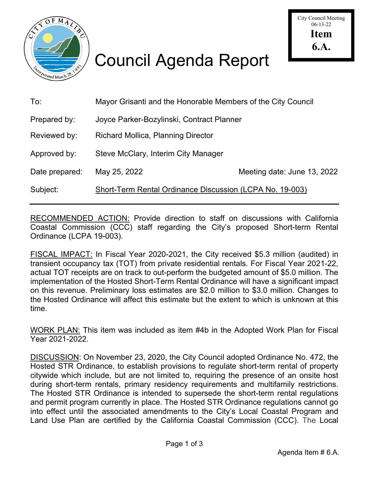

## Council Agenda Report

| To:            | Mayor Grisanti and the Honorable Members of the City Council    |                             |
|----------------|-----------------------------------------------------------------|-----------------------------|
| Prepared by:   | Joyce Parker-Bozylinski, Contract Planner                       |                             |
| Reviewed by:   | <b>Richard Mollica, Planning Director</b>                       |                             |
| Approved by:   | Steve McClary, Interim City Manager                             |                             |
| Date prepared: | May 25, 2022                                                    | Meeting date: June 13, 2022 |
| Subject:       | <b>Short-Term Rental Ordinance Discussion (LCPA No. 19-003)</b> |                             |
|                |                                                                 |                             |

RECOMMENDED ACTION: Provide direction to staff on discussions with California Coastal Commission (CCC) staff regarding the City's proposed Short-term Rental Ordinance (LCPA 19-003).

FISCAL IMPACT: In Fiscal Year 2020-2021, the City received \$5.3 million (audited) in transient occupancy tax (TOT) from private residential rentals. For Fiscal Year 2021-22, actual TOT receipts are on track to out-perform the budgeted amount of \$5.0 million. The implementation of the Hosted Short-Term Rental Ordinance will have a significant impact on this revenue. Preliminary loss estimates are \$2.0 million to \$3.0 million. Changes to the Hosted Ordinance will affect this estimate but the extent to which is unknown at this time.

WORK PLAN: This item was included as item #4b in the Adopted Work Plan for Fiscal Year 2021-2022.

DISCUSSION: On November 23, 2020, the City Council adopted Ordinance No. 472, the Hosted STR Ordinance, to establish provisions to regulate short-term rental of property citywide which include, but are not limited to, requiring the presence of an onsite host during short-term rentals, primary residency requirements and multifamily restrictions. The Hosted STR Ordinance is intended to supersede the short-term rental regulations and permit program currently in place. The Hosted STR Ordinance regulations cannot go into effect until the associated amendments to the City's Local Coastal Program and Land Use Plan are certified by the California Coastal Commission (CCC). The Local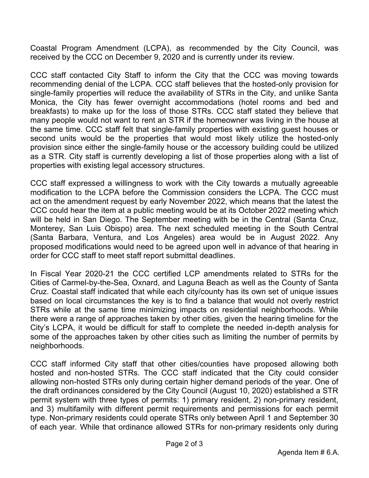Coastal Program Amendment (LCPA), as recommended by the City Council, was received by the CCC on December 9, 2020 and is currently under its review.

CCC staff contacted City Staff to inform the City that the CCC was moving towards recommending denial of the LCPA. CCC staff believes that the hosted-only provision for single-family properties will reduce the availability of STRs in the City, and unlike Santa Monica, the City has fewer overnight accommodations (hotel rooms and bed and breakfasts) to make up for the loss of those STRs. CCC staff stated they believe that many people would not want to rent an STR if the homeowner was living in the house at the same time. CCC staff felt that single-family properties with existing guest houses or second units would be the properties that would most likely utilize the hosted-only provision since either the single-family house or the accessory building could be utilized as a STR. City staff is currently developing a list of those properties along with a list of properties with existing legal accessory structures.

CCC staff expressed a willingness to work with the City towards a mutually agreeable modification to the LCPA before the Commission considers the LCPA. The CCC must act on the amendment request by early November 2022, which means that the latest the CCC could hear the item at a public meeting would be at its October 2022 meeting which will be held in San Diego. The September meeting with be in the Central (Santa Cruz, Monterey, San Luis Obispo) area. The next scheduled meeting in the South Central (Santa Barbara, Ventura, and Los Angeles) area would be in August 2022. Any proposed modifications would need to be agreed upon well in advance of that hearing in order for CCC staff to meet staff report submittal deadlines.

In Fiscal Year 2020-21 the CCC certified LCP amendments related to STRs for the Cities of Carmel-by-the-Sea, Oxnard, and Laguna Beach as well as the County of Santa Cruz. Coastal staff indicated that while each city/county has its own set of unique issues based on local circumstances the key is to find a balance that would not overly restrict STRs while at the same time minimizing impacts on residential neighborhoods. While there were a range of approaches taken by other cities, given the hearing timeline for the City's LCPA, it would be difficult for staff to complete the needed in-depth analysis for some of the approaches taken by other cities such as limiting the number of permits by neighborhoods.

CCC staff informed City staff that other cities/counties have proposed allowing both hosted and non-hosted STRs. The CCC staff indicated that the City could consider allowing non-hosted STRs only during certain higher demand periods of the year. One of the draft ordinances considered by the City Council (August 10, 2020) established a STR permit system with three types of permits: 1) primary resident, 2) non-primary resident, and 3) multifamily with different permit requirements and permissions for each permit type. Non-primary residents could operate STRs only between April 1 and September 30 of each year. While that ordinance allowed STRs for non-primary residents only during